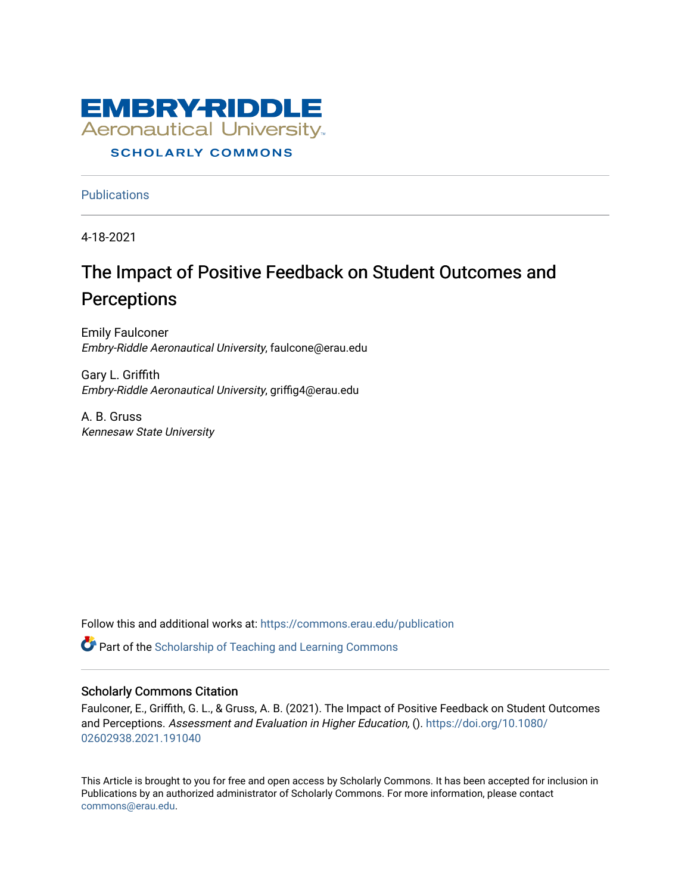

# **SCHOLARLY COMMONS**

**Publications** 

4-18-2021

# The Impact of Positive Feedback on Student Outcomes and **Perceptions**

Emily Faulconer Embry-Riddle Aeronautical University, faulcone@erau.edu

Gary L. Griffith Embry-Riddle Aeronautical University, griffig4@erau.edu

A. B. Gruss Kennesaw State University

Follow this and additional works at: [https://commons.erau.edu/publication](https://commons.erau.edu/publication?utm_source=commons.erau.edu%2Fpublication%2F1659&utm_medium=PDF&utm_campaign=PDFCoverPages) 

Part of the [Scholarship of Teaching and Learning Commons](http://network.bepress.com/hgg/discipline/1328?utm_source=commons.erau.edu%2Fpublication%2F1659&utm_medium=PDF&utm_campaign=PDFCoverPages) 

# Scholarly Commons Citation

Faulconer, E., Griffith, G. L., & Gruss, A. B. (2021). The Impact of Positive Feedback on Student Outcomes and Perceptions. Assessment and Evaluation in Higher Education, (). [https://doi.org/10.1080/](https://doi.org/10.1080/02602938.2021.191040) [02602938.2021.191040](https://doi.org/10.1080/02602938.2021.191040)

This Article is brought to you for free and open access by Scholarly Commons. It has been accepted for inclusion in Publications by an authorized administrator of Scholarly Commons. For more information, please contact [commons@erau.edu](mailto:commons@erau.edu).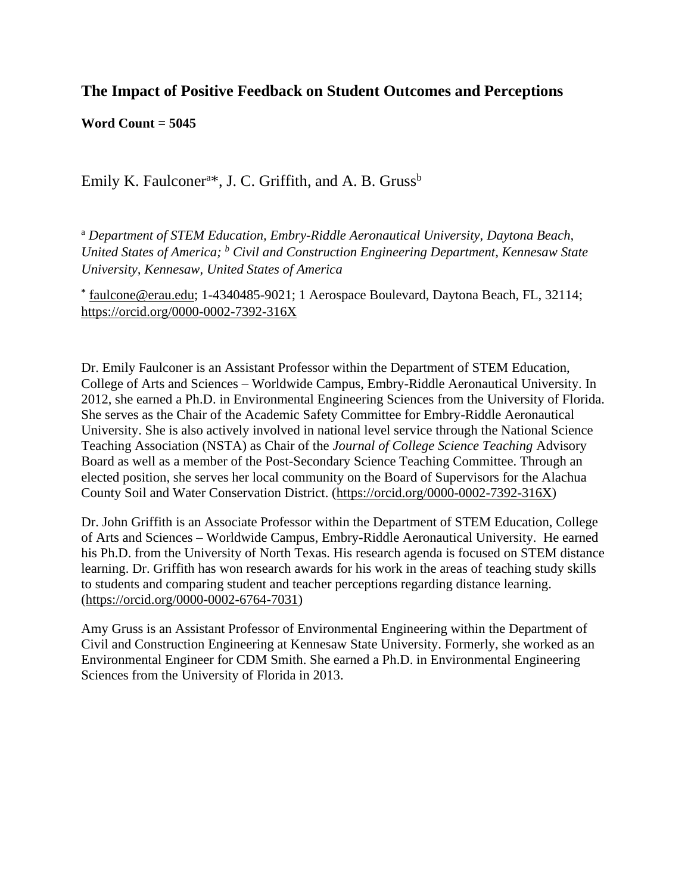# **The Impact of Positive Feedback on Student Outcomes and Perceptions**

**Word Count = 5045**

Emily K. Faulconer<sup>a\*</sup>, J. C. Griffith, and A. B. Gruss<sup>b</sup>

<sup>a</sup> *Department of STEM Education, Embry-Riddle Aeronautical University, Daytona Beach, United States of America; <sup>b</sup> Civil and Construction Engineering Department, Kennesaw State University, Kennesaw, United States of America*

**\*** [faulcone@erau.edu;](mailto:faulcone@erau.edu) 1-4340485-9021; 1 Aerospace Boulevard, Daytona Beach, FL, 32114; <https://orcid.org/0000-0002-7392-316X>

Dr. Emily Faulconer is an Assistant Professor within the Department of STEM Education, College of Arts and Sciences – Worldwide Campus, Embry-Riddle Aeronautical University. In 2012, she earned a Ph.D. in Environmental Engineering Sciences from the University of Florida. She serves as the Chair of the Academic Safety Committee for Embry-Riddle Aeronautical University. She is also actively involved in national level service through the National Science Teaching Association (NSTA) as Chair of the *Journal of College Science Teaching* Advisory Board as well as a member of the Post-Secondary Science Teaching Committee. Through an elected position, she serves her local community on the Board of Supervisors for the Alachua County Soil and Water Conservation District. [\(https://orcid.org/0000-0002-7392-316X\)](https://orcid.org/0000-0002-7392-316X)

Dr. John Griffith is an Associate Professor within the Department of STEM Education, College of Arts and Sciences – Worldwide Campus, Embry-Riddle Aeronautical University. He earned his Ph.D. from the University of North Texas. His research agenda is focused on STEM distance learning. Dr. Griffith has won research awards for his work in the areas of teaching study skills to students and comparing student and teacher perceptions regarding distance learning. [\(https://orcid.org/0000-0002-6764-7031\)](https://orcid.org/0000-0002-6764-7031)

Amy Gruss is an Assistant Professor of Environmental Engineering within the Department of Civil and Construction Engineering at Kennesaw State University. Formerly, she worked as an Environmental Engineer for CDM Smith. She earned a Ph.D. in Environmental Engineering Sciences from the University of Florida in 2013.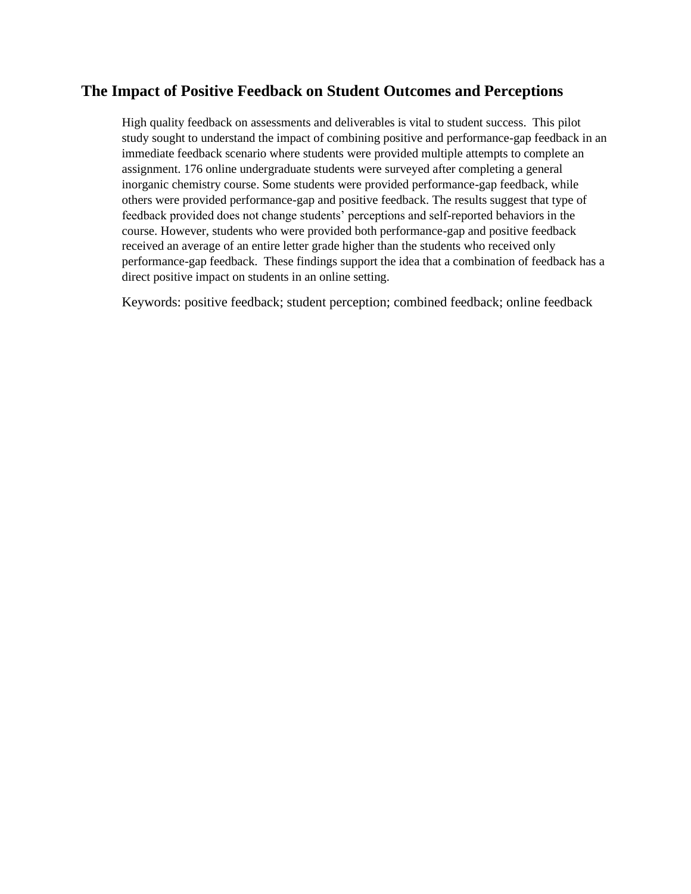# **The Impact of Positive Feedback on Student Outcomes and Perceptions**

High quality feedback on assessments and deliverables is vital to student success. This pilot study sought to understand the impact of combining positive and performance-gap feedback in an immediate feedback scenario where students were provided multiple attempts to complete an assignment. 176 online undergraduate students were surveyed after completing a general inorganic chemistry course. Some students were provided performance-gap feedback, while others were provided performance-gap and positive feedback. The results suggest that type of feedback provided does not change students' perceptions and self-reported behaviors in the course. However, students who were provided both performance-gap and positive feedback received an average of an entire letter grade higher than the students who received only performance-gap feedback. These findings support the idea that a combination of feedback has a direct positive impact on students in an online setting.

Keywords: positive feedback; student perception; combined feedback; online feedback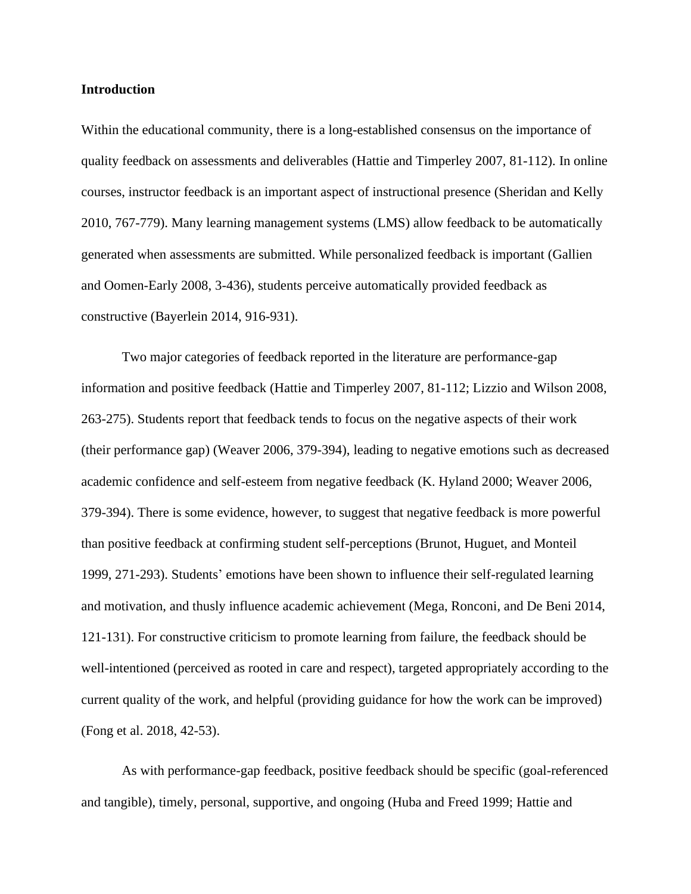#### **Introduction**

Within the educational community, there is a long-established consensus on the importance of quality feedback on assessments and deliverables (Hattie and Timperley 2007, 81-112). In online courses, instructor feedback is an important aspect of instructional presence (Sheridan and Kelly 2010, 767-779). Many learning management systems (LMS) allow feedback to be automatically generated when assessments are submitted. While personalized feedback is important (Gallien and Oomen-Early 2008, 3-436), students perceive automatically provided feedback as constructive (Bayerlein 2014, 916-931).

Two major categories of feedback reported in the literature are performance-gap information and positive feedback (Hattie and Timperley 2007, 81-112; Lizzio and Wilson 2008, 263-275). Students report that feedback tends to focus on the negative aspects of their work (their performance gap) (Weaver 2006, 379-394), leading to negative emotions such as decreased academic confidence and self-esteem from negative feedback (K. Hyland 2000; Weaver 2006, 379-394). There is some evidence, however, to suggest that negative feedback is more powerful than positive feedback at confirming student self-perceptions (Brunot, Huguet, and Monteil 1999, 271-293). Students' emotions have been shown to influence their self-regulated learning and motivation, and thusly influence academic achievement (Mega, Ronconi, and De Beni 2014, 121-131). For constructive criticism to promote learning from failure, the feedback should be well-intentioned (perceived as rooted in care and respect), targeted appropriately according to the current quality of the work, and helpful (providing guidance for how the work can be improved) (Fong et al. 2018, 42-53).

As with performance-gap feedback, positive feedback should be specific (goal-referenced and tangible), timely, personal, supportive, and ongoing (Huba and Freed 1999; Hattie and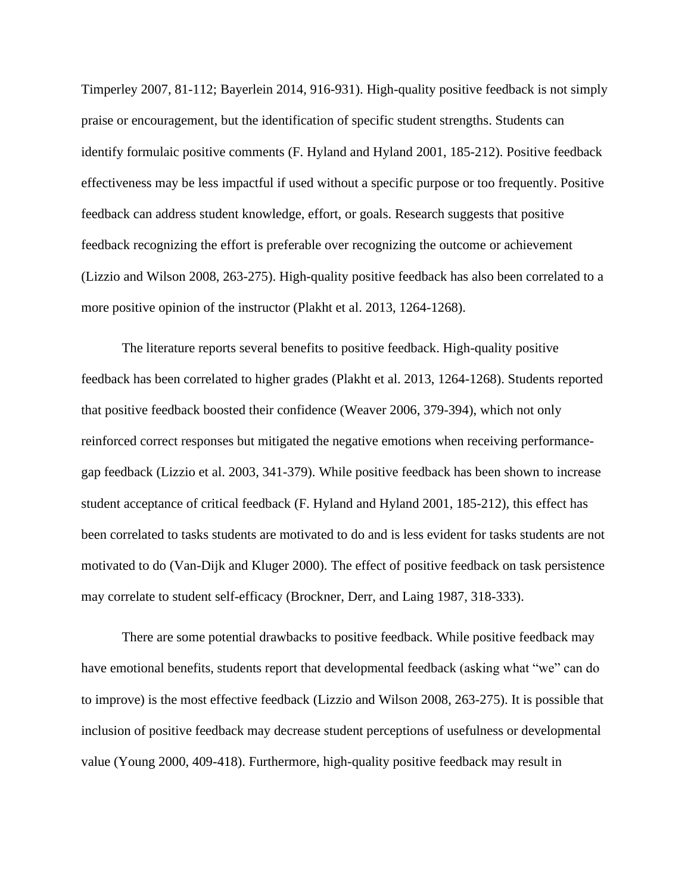Timperley 2007, 81-112; Bayerlein 2014, 916-931). High-quality positive feedback is not simply praise or encouragement, but the identification of specific student strengths. Students can identify formulaic positive comments (F. Hyland and Hyland 2001, 185-212). Positive feedback effectiveness may be less impactful if used without a specific purpose or too frequently. Positive feedback can address student knowledge, effort, or goals. Research suggests that positive feedback recognizing the effort is preferable over recognizing the outcome or achievement (Lizzio and Wilson 2008, 263-275). High-quality positive feedback has also been correlated to a more positive opinion of the instructor (Plakht et al. 2013, 1264-1268).

The literature reports several benefits to positive feedback. High-quality positive feedback has been correlated to higher grades (Plakht et al. 2013, 1264-1268). Students reported that positive feedback boosted their confidence (Weaver 2006, 379-394), which not only reinforced correct responses but mitigated the negative emotions when receiving performancegap feedback (Lizzio et al. 2003, 341-379). While positive feedback has been shown to increase student acceptance of critical feedback (F. Hyland and Hyland 2001, 185-212), this effect has been correlated to tasks students are motivated to do and is less evident for tasks students are not motivated to do (Van-Dijk and Kluger 2000). The effect of positive feedback on task persistence may correlate to student self-efficacy (Brockner, Derr, and Laing 1987, 318-333).

There are some potential drawbacks to positive feedback. While positive feedback may have emotional benefits, students report that developmental feedback (asking what "we" can do to improve) is the most effective feedback (Lizzio and Wilson 2008, 263-275). It is possible that inclusion of positive feedback may decrease student perceptions of usefulness or developmental value (Young 2000, 409-418). Furthermore, high-quality positive feedback may result in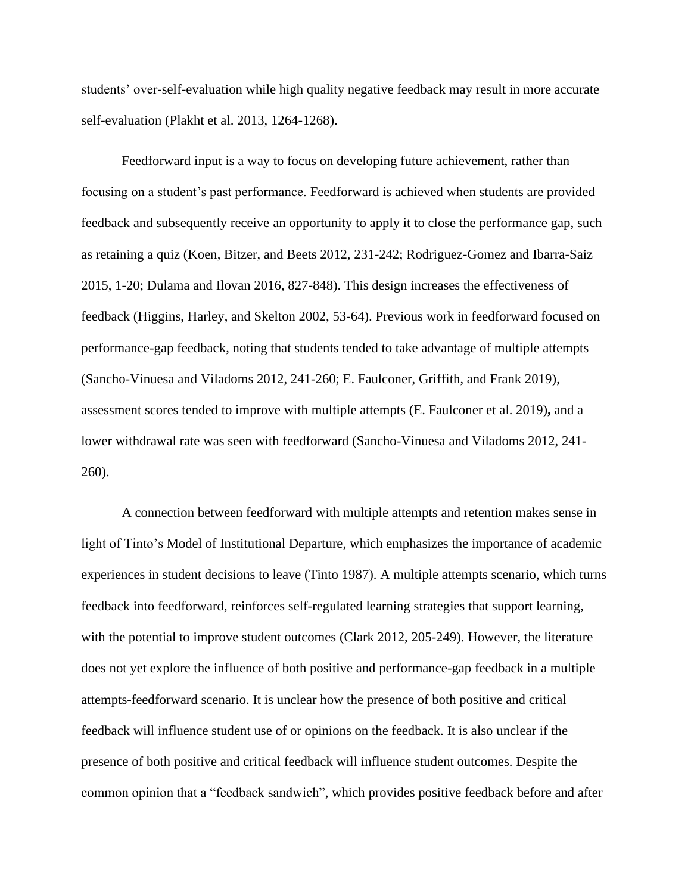students' over-self-evaluation while high quality negative feedback may result in more accurate self-evaluation (Plakht et al. 2013, 1264-1268).

Feedforward input is a way to focus on developing future achievement, rather than focusing on a student's past performance. Feedforward is achieved when students are provided feedback and subsequently receive an opportunity to apply it to close the performance gap, such as retaining a quiz (Koen, Bitzer, and Beets 2012, 231-242; Rodriguez-Gomez and Ibarra-Saiz 2015, 1-20; Dulama and Ilovan 2016, 827-848). This design increases the effectiveness of feedback (Higgins, Harley, and Skelton 2002, 53-64). Previous work in feedforward focused on performance-gap feedback, noting that students tended to take advantage of multiple attempts (Sancho-Vinuesa and Viladoms 2012, 241-260; E. Faulconer, Griffith, and Frank 2019), assessment scores tended to improve with multiple attempts (E. Faulconer et al. 2019)**,** and a lower withdrawal rate was seen with feedforward (Sancho-Vinuesa and Viladoms 2012, 241- 260).

A connection between feedforward with multiple attempts and retention makes sense in light of Tinto's Model of Institutional Departure, which emphasizes the importance of academic experiences in student decisions to leave (Tinto 1987). A multiple attempts scenario, which turns feedback into feedforward, reinforces self-regulated learning strategies that support learning, with the potential to improve student outcomes (Clark 2012, 205-249). However, the literature does not yet explore the influence of both positive and performance-gap feedback in a multiple attempts-feedforward scenario. It is unclear how the presence of both positive and critical feedback will influence student use of or opinions on the feedback. It is also unclear if the presence of both positive and critical feedback will influence student outcomes. Despite the common opinion that a "feedback sandwich", which provides positive feedback before and after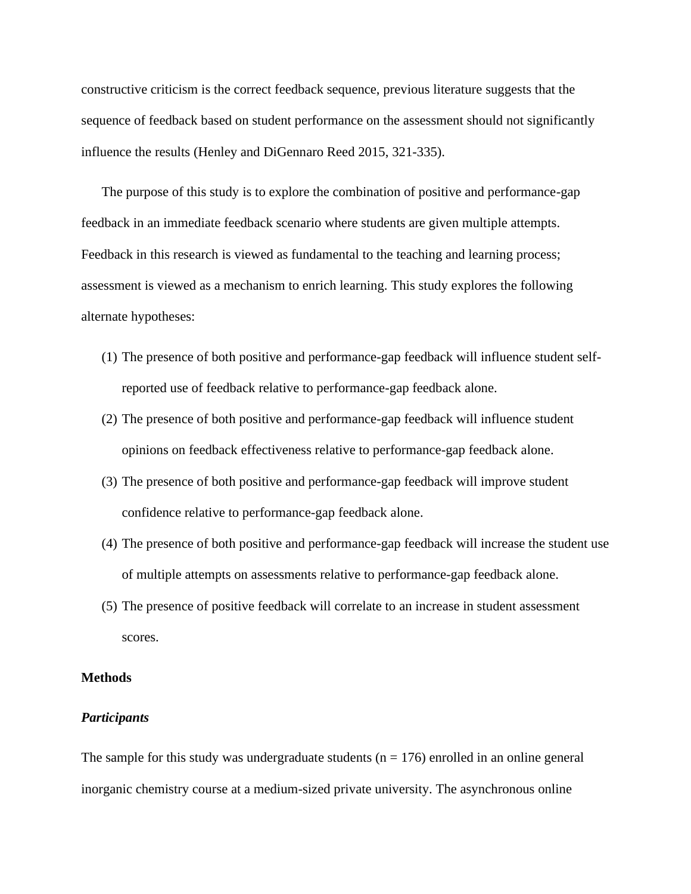constructive criticism is the correct feedback sequence, previous literature suggests that the sequence of feedback based on student performance on the assessment should not significantly influence the results (Henley and DiGennaro Reed 2015, 321-335).

The purpose of this study is to explore the combination of positive and performance-gap feedback in an immediate feedback scenario where students are given multiple attempts. Feedback in this research is viewed as fundamental to the teaching and learning process; assessment is viewed as a mechanism to enrich learning. This study explores the following alternate hypotheses:

- (1) The presence of both positive and performance-gap feedback will influence student selfreported use of feedback relative to performance-gap feedback alone.
- (2) The presence of both positive and performance-gap feedback will influence student opinions on feedback effectiveness relative to performance-gap feedback alone.
- (3) The presence of both positive and performance-gap feedback will improve student confidence relative to performance-gap feedback alone.
- (4) The presence of both positive and performance-gap feedback will increase the student use of multiple attempts on assessments relative to performance-gap feedback alone.
- (5) The presence of positive feedback will correlate to an increase in student assessment scores.

## **Methods**

#### *Participants*

The sample for this study was undergraduate students ( $n = 176$ ) enrolled in an online general inorganic chemistry course at a medium-sized private university. The asynchronous online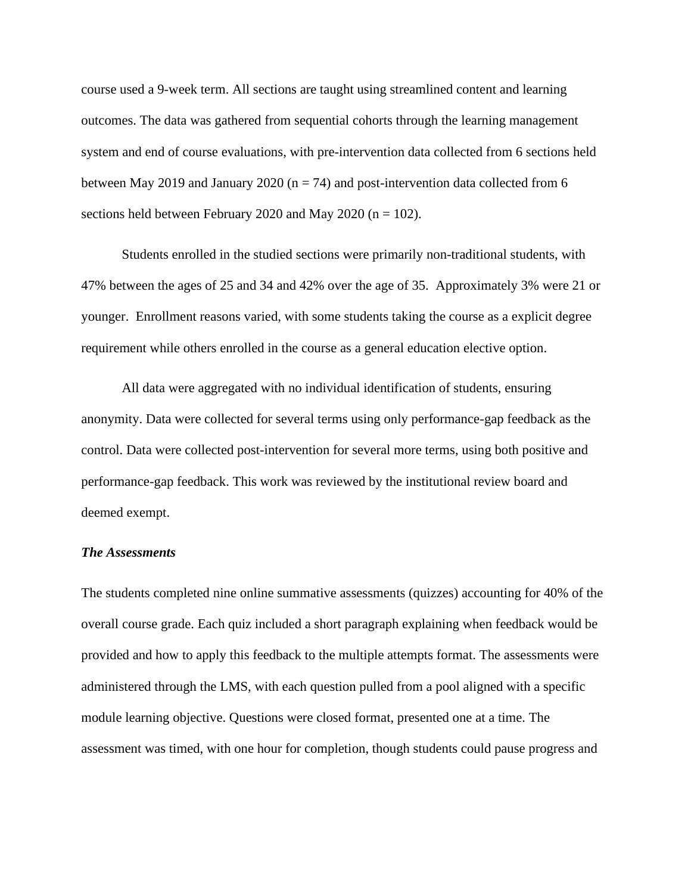course used a 9-week term. All sections are taught using streamlined content and learning outcomes. The data was gathered from sequential cohorts through the learning management system and end of course evaluations, with pre-intervention data collected from 6 sections held between May 2019 and January 2020 ( $n = 74$ ) and post-intervention data collected from 6 sections held between February 2020 and May 2020 ( $n = 102$ ).

Students enrolled in the studied sections were primarily non-traditional students, with 47% between the ages of 25 and 34 and 42% over the age of 35. Approximately 3% were 21 or younger. Enrollment reasons varied, with some students taking the course as a explicit degree requirement while others enrolled in the course as a general education elective option.

All data were aggregated with no individual identification of students, ensuring anonymity. Data were collected for several terms using only performance-gap feedback as the control. Data were collected post-intervention for several more terms, using both positive and performance-gap feedback. This work was reviewed by the institutional review board and deemed exempt.

## *The Assessments*

The students completed nine online summative assessments (quizzes) accounting for 40% of the overall course grade. Each quiz included a short paragraph explaining when feedback would be provided and how to apply this feedback to the multiple attempts format. The assessments were administered through the LMS, with each question pulled from a pool aligned with a specific module learning objective. Questions were closed format, presented one at a time. The assessment was timed, with one hour for completion, though students could pause progress and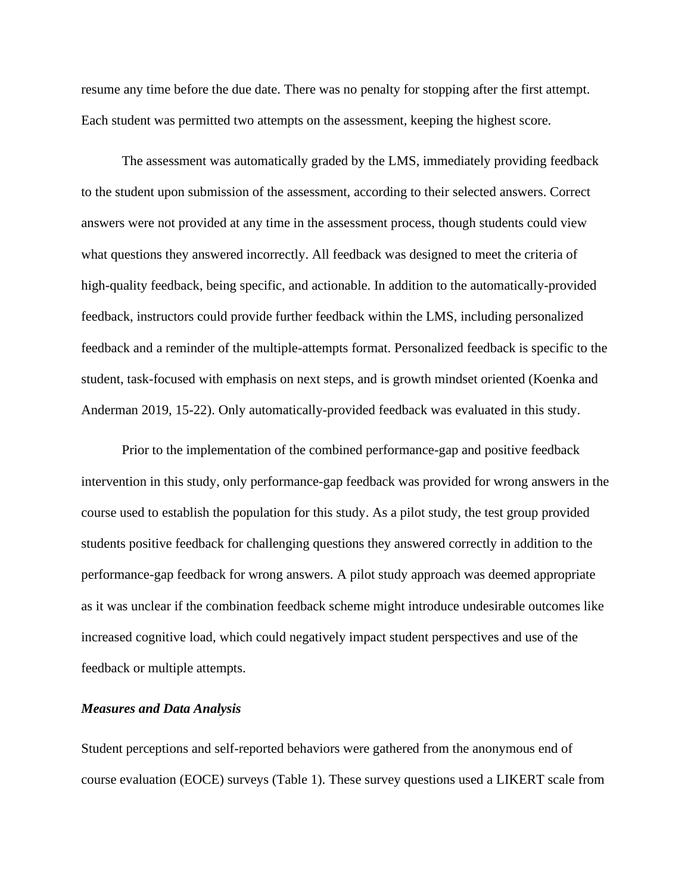resume any time before the due date. There was no penalty for stopping after the first attempt. Each student was permitted two attempts on the assessment, keeping the highest score.

The assessment was automatically graded by the LMS, immediately providing feedback to the student upon submission of the assessment, according to their selected answers. Correct answers were not provided at any time in the assessment process, though students could view what questions they answered incorrectly. All feedback was designed to meet the criteria of high-quality feedback, being specific, and actionable. In addition to the automatically-provided feedback, instructors could provide further feedback within the LMS, including personalized feedback and a reminder of the multiple-attempts format. Personalized feedback is specific to the student, task-focused with emphasis on next steps, and is growth mindset oriented (Koenka and Anderman 2019, 15-22). Only automatically-provided feedback was evaluated in this study.

Prior to the implementation of the combined performance-gap and positive feedback intervention in this study, only performance-gap feedback was provided for wrong answers in the course used to establish the population for this study. As a pilot study, the test group provided students positive feedback for challenging questions they answered correctly in addition to the performance-gap feedback for wrong answers. A pilot study approach was deemed appropriate as it was unclear if the combination feedback scheme might introduce undesirable outcomes like increased cognitive load, which could negatively impact student perspectives and use of the feedback or multiple attempts.

# *Measures and Data Analysis*

Student perceptions and self-reported behaviors were gathered from the anonymous end of course evaluation (EOCE) surveys (Table 1). These survey questions used a LIKERT scale from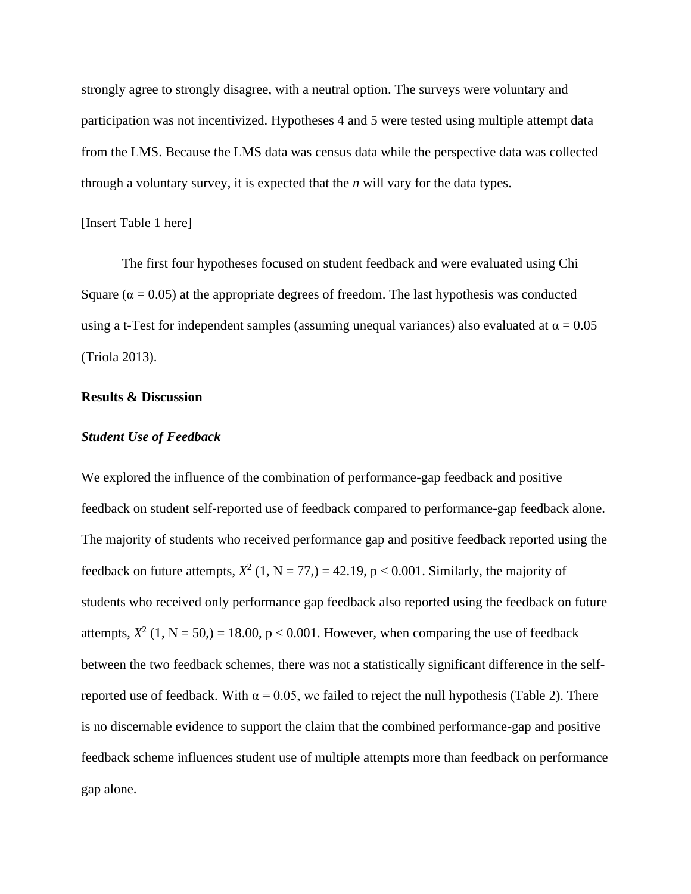strongly agree to strongly disagree, with a neutral option. The surveys were voluntary and participation was not incentivized. Hypotheses 4 and 5 were tested using multiple attempt data from the LMS. Because the LMS data was census data while the perspective data was collected through a voluntary survey, it is expected that the *n* will vary for the data types.

# [Insert Table 1 here]

The first four hypotheses focused on student feedback and were evaluated using Chi Square ( $\alpha$  = 0.05) at the appropriate degrees of freedom. The last hypothesis was conducted using a t-Test for independent samples (assuming unequal variances) also evaluated at  $\alpha = 0.05$ (Triola 2013).

# **Results & Discussion**

#### *Student Use of Feedback*

We explored the influence of the combination of performance-gap feedback and positive feedback on student self-reported use of feedback compared to performance-gap feedback alone. The majority of students who received performance gap and positive feedback reported using the feedback on future attempts,  $X^2$  (1, N = 77,) = 42.19, p < 0.001. Similarly, the majority of students who received only performance gap feedback also reported using the feedback on future attempts,  $X^2$  (1, N = 50,) = 18.00, p < 0.001. However, when comparing the use of feedback between the two feedback schemes, there was not a statistically significant difference in the selfreported use of feedback. With  $\alpha = 0.05$ , we failed to reject the null hypothesis (Table 2). There is no discernable evidence to support the claim that the combined performance-gap and positive feedback scheme influences student use of multiple attempts more than feedback on performance gap alone.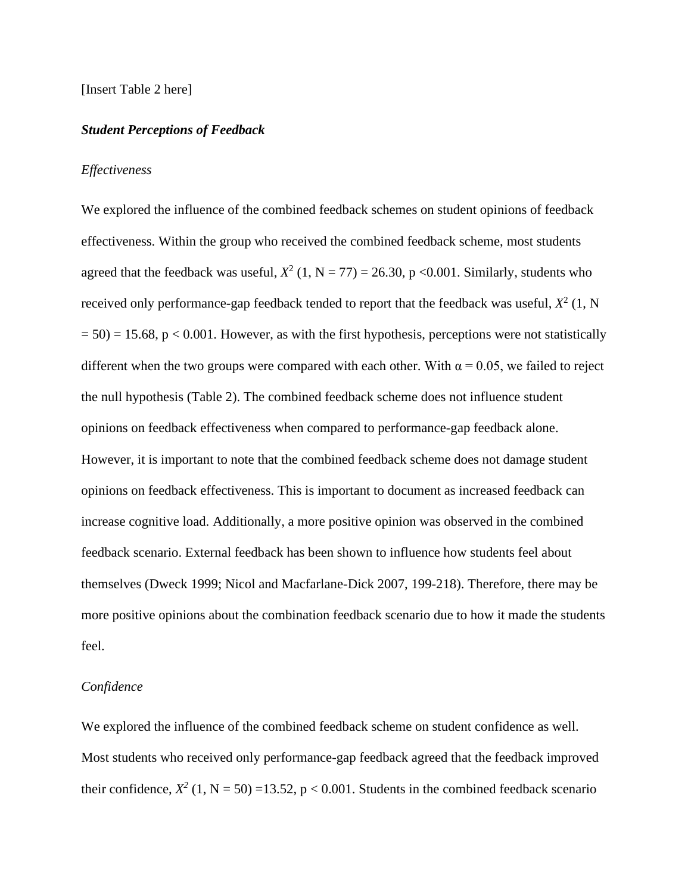#### [Insert Table 2 here]

#### *Student Perceptions of Feedback*

#### *Effectiveness*

We explored the influence of the combined feedback schemes on student opinions of feedback effectiveness. Within the group who received the combined feedback scheme, most students agreed that the feedback was useful,  $X^2$  (1, N = 77) = 26.30, p < 0.001. Similarly, students who received only performance-gap feedback tended to report that the feedback was useful,  $X^2$  (1, N  $= 50$ ) = 15.68, p < 0.001. However, as with the first hypothesis, perceptions were not statistically different when the two groups were compared with each other. With  $\alpha = 0.05$ , we failed to reject the null hypothesis (Table 2). The combined feedback scheme does not influence student opinions on feedback effectiveness when compared to performance-gap feedback alone. However, it is important to note that the combined feedback scheme does not damage student opinions on feedback effectiveness. This is important to document as increased feedback can increase cognitive load. Additionally, a more positive opinion was observed in the combined feedback scenario. External feedback has been shown to influence how students feel about themselves (Dweck 1999; Nicol and Macfarlane-Dick 2007, 199-218). Therefore, there may be more positive opinions about the combination feedback scenario due to how it made the students feel.

#### *Confidence*

We explored the influence of the combined feedback scheme on student confidence as well. Most students who received only performance-gap feedback agreed that the feedback improved their confidence,  $X^2$  (1, N = 50) =13.52, p < 0.001. Students in the combined feedback scenario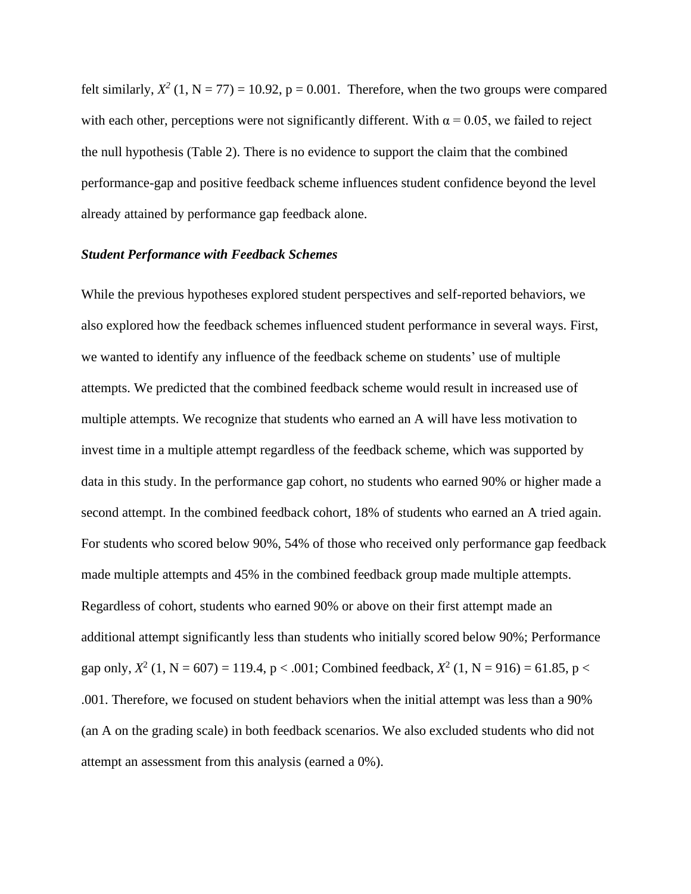felt similarly,  $X^2$  (1, N = 77) = 10.92, p = 0.001. Therefore, when the two groups were compared with each other, perceptions were not significantly different. With  $\alpha = 0.05$ , we failed to reject the null hypothesis (Table 2). There is no evidence to support the claim that the combined performance-gap and positive feedback scheme influences student confidence beyond the level already attained by performance gap feedback alone.

# *Student Performance with Feedback Schemes*

While the previous hypotheses explored student perspectives and self-reported behaviors, we also explored how the feedback schemes influenced student performance in several ways. First, we wanted to identify any influence of the feedback scheme on students' use of multiple attempts. We predicted that the combined feedback scheme would result in increased use of multiple attempts. We recognize that students who earned an A will have less motivation to invest time in a multiple attempt regardless of the feedback scheme, which was supported by data in this study. In the performance gap cohort, no students who earned 90% or higher made a second attempt. In the combined feedback cohort, 18% of students who earned an A tried again. For students who scored below 90%, 54% of those who received only performance gap feedback made multiple attempts and 45% in the combined feedback group made multiple attempts. Regardless of cohort, students who earned 90% or above on their first attempt made an additional attempt significantly less than students who initially scored below 90%; Performance gap only,  $X^2$  (1, N = 607) = 119.4, p < .001; Combined feedback,  $X^2$  (1, N = 916) = 61.85, p < .001. Therefore, we focused on student behaviors when the initial attempt was less than a 90% (an A on the grading scale) in both feedback scenarios. We also excluded students who did not attempt an assessment from this analysis (earned a 0%).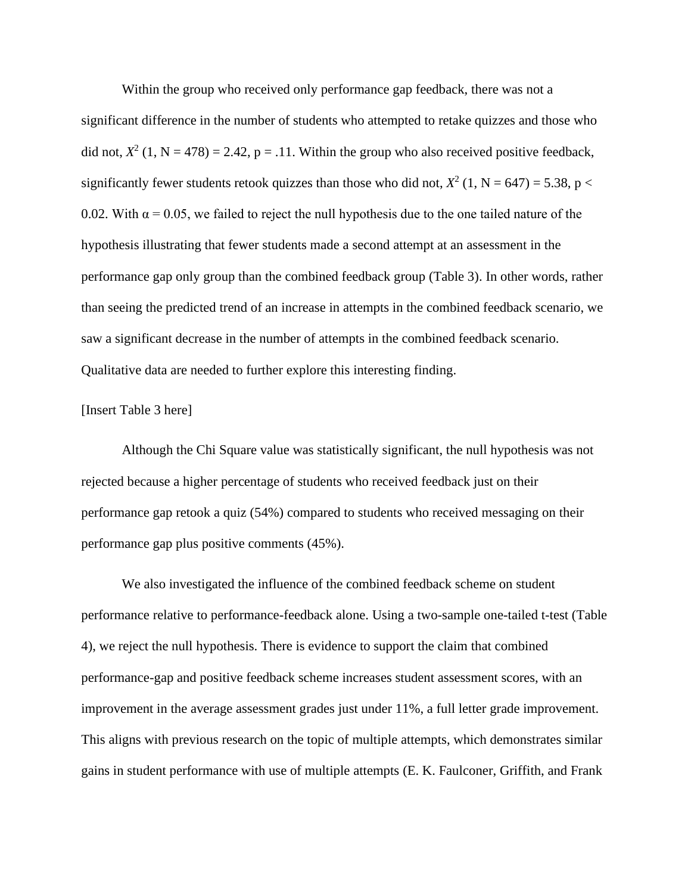Within the group who received only performance gap feedback, there was not a significant difference in the number of students who attempted to retake quizzes and those who did not,  $X^2$  (1, N = 478) = 2.42, p = .11. Within the group who also received positive feedback, significantly fewer students retook quizzes than those who did not,  $X^2$  (1, N = 647) = 5.38, p < 0.02. With  $\alpha$  = 0.05, we failed to reject the null hypothesis due to the one tailed nature of the hypothesis illustrating that fewer students made a second attempt at an assessment in the performance gap only group than the combined feedback group (Table 3). In other words, rather than seeing the predicted trend of an increase in attempts in the combined feedback scenario, we saw a significant decrease in the number of attempts in the combined feedback scenario. Qualitative data are needed to further explore this interesting finding.

## [Insert Table 3 here]

Although the Chi Square value was statistically significant, the null hypothesis was not rejected because a higher percentage of students who received feedback just on their performance gap retook a quiz (54%) compared to students who received messaging on their performance gap plus positive comments (45%).

We also investigated the influence of the combined feedback scheme on student performance relative to performance-feedback alone. Using a two-sample one-tailed t-test (Table 4), we reject the null hypothesis. There is evidence to support the claim that combined performance-gap and positive feedback scheme increases student assessment scores, with an improvement in the average assessment grades just under 11%, a full letter grade improvement. This aligns with previous research on the topic of multiple attempts, which demonstrates similar gains in student performance with use of multiple attempts (E. K. Faulconer, Griffith, and Frank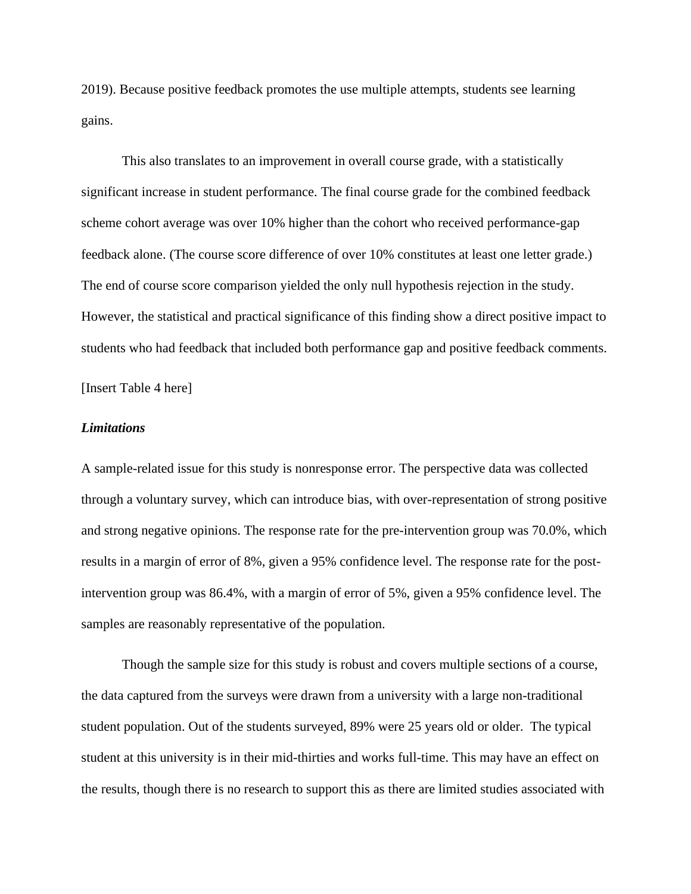2019). Because positive feedback promotes the use multiple attempts, students see learning gains.

This also translates to an improvement in overall course grade, with a statistically significant increase in student performance. The final course grade for the combined feedback scheme cohort average was over 10% higher than the cohort who received performance-gap feedback alone. (The course score difference of over 10% constitutes at least one letter grade.) The end of course score comparison yielded the only null hypothesis rejection in the study. However, the statistical and practical significance of this finding show a direct positive impact to students who had feedback that included both performance gap and positive feedback comments.

[Insert Table 4 here]

# *Limitations*

A sample-related issue for this study is nonresponse error. The perspective data was collected through a voluntary survey, which can introduce bias, with over-representation of strong positive and strong negative opinions. The response rate for the pre-intervention group was 70.0%, which results in a margin of error of 8%, given a 95% confidence level. The response rate for the postintervention group was 86.4%, with a margin of error of 5%, given a 95% confidence level. The samples are reasonably representative of the population.

Though the sample size for this study is robust and covers multiple sections of a course, the data captured from the surveys were drawn from a university with a large non-traditional student population. Out of the students surveyed, 89% were 25 years old or older. The typical student at this university is in their mid-thirties and works full-time. This may have an effect on the results, though there is no research to support this as there are limited studies associated with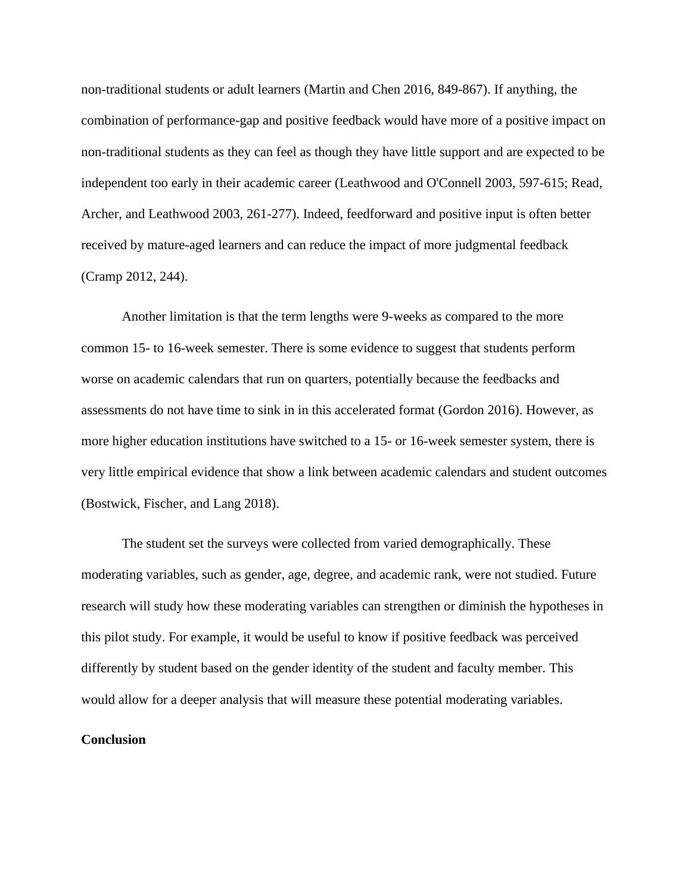non-traditional students or adult learners (Martin and Chen 2016, 849-867). If anything, the combination of performance-gap and positive feedback would have more of a positive impact on non-traditional students as they can feel as though they have little support and are expected to be independent too early in their academic career (Leathwood and O'Connell 2003, 597-615; Read, Archer, and Leathwood 2003, 261-277). Indeed, feedforward and positive input is often better received by mature-aged learners and can reduce the impact of more judgmental feedback (Cramp 2012, 244).

Another limitation is that the term lengths were 9-weeks as compared to the more common 15- to 16-week semester. There is some evidence to suggest that students perform worse on academic calendars that run on quarters, potentially because the feedbacks and assessments do not have time to sink in in this accelerated format (Gordon 2016). However, as more higher education institutions have switched to a 15- or 16-week semester system, there is very little empirical evidence that show a link between academic calendars and student outcomes (Bostwick, Fischer, and Lang 2018).

The student set the surveys were collected from varied demographically. These moderating variables, such as gender, age, degree, and academic rank, were not studied. Future research will study how these moderating variables can strengthen or diminish the hypotheses in this pilot study. For example, it would be useful to know if positive feedback was perceived differently by student based on the gender identity of the student and faculty member. This would allow for a deeper analysis that will measure these potential moderating variables.

# **Conclusion**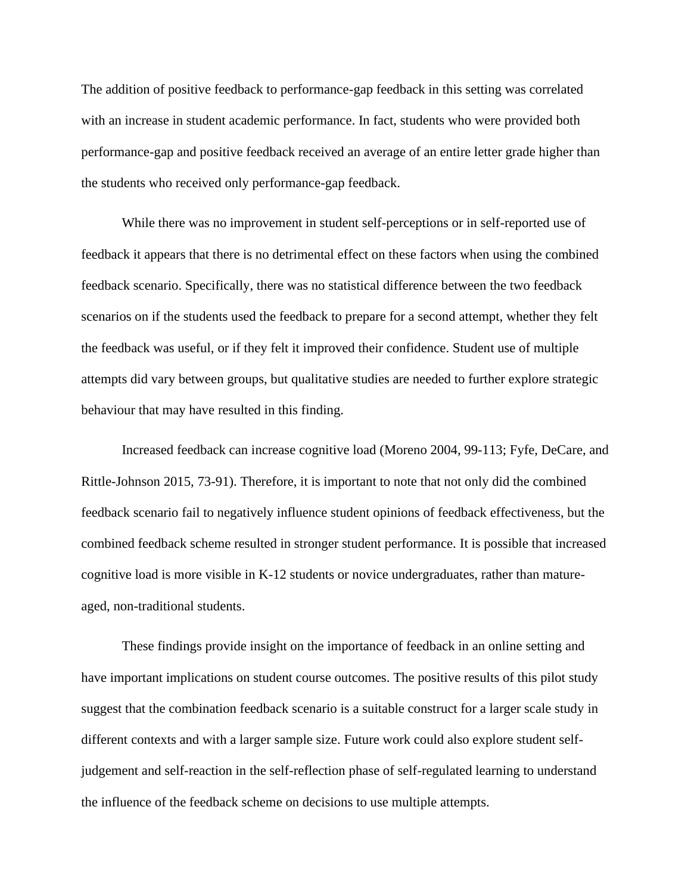The addition of positive feedback to performance-gap feedback in this setting was correlated with an increase in student academic performance. In fact, students who were provided both performance-gap and positive feedback received an average of an entire letter grade higher than the students who received only performance-gap feedback.

While there was no improvement in student self-perceptions or in self-reported use of feedback it appears that there is no detrimental effect on these factors when using the combined feedback scenario. Specifically, there was no statistical difference between the two feedback scenarios on if the students used the feedback to prepare for a second attempt, whether they felt the feedback was useful, or if they felt it improved their confidence. Student use of multiple attempts did vary between groups, but qualitative studies are needed to further explore strategic behaviour that may have resulted in this finding.

Increased feedback can increase cognitive load (Moreno 2004, 99-113; Fyfe, DeCare, and Rittle-Johnson 2015, 73-91). Therefore, it is important to note that not only did the combined feedback scenario fail to negatively influence student opinions of feedback effectiveness, but the combined feedback scheme resulted in stronger student performance. It is possible that increased cognitive load is more visible in K-12 students or novice undergraduates, rather than matureaged, non-traditional students.

These findings provide insight on the importance of feedback in an online setting and have important implications on student course outcomes. The positive results of this pilot study suggest that the combination feedback scenario is a suitable construct for a larger scale study in different contexts and with a larger sample size. Future work could also explore student selfjudgement and self-reaction in the self-reflection phase of self-regulated learning to understand the influence of the feedback scheme on decisions to use multiple attempts.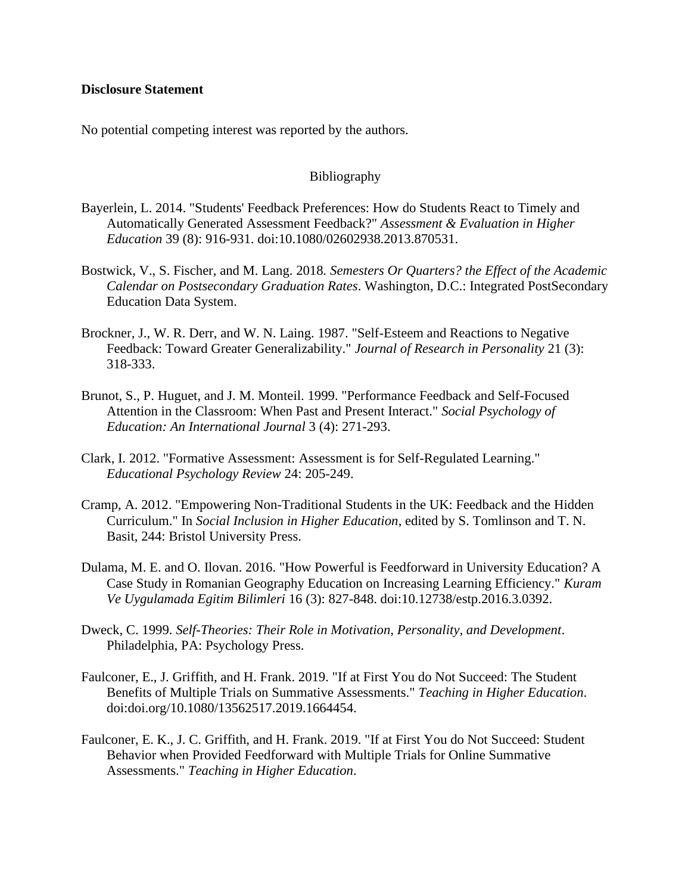# **Disclosure Statement**

No potential competing interest was reported by the authors.

# Bibliography

- Bayerlein, L. 2014. "Students' Feedback Preferences: How do Students React to Timely and Automatically Generated Assessment Feedback?" *Assessment & Evaluation in Higher Education* 39 (8): 916-931. doi:10.1080/02602938.2013.870531.
- Bostwick, V., S. Fischer, and M. Lang. 2018*. Semesters Or Quarters? the Effect of the Academic Calendar on Postsecondary Graduation Rates*. Washington, D.C.: Integrated PostSecondary Education Data System.
- Brockner, J., W. R. Derr, and W. N. Laing. 1987. "Self-Esteem and Reactions to Negative Feedback: Toward Greater Generalizability." *Journal of Research in Personality* 21 (3): 318-333.
- Brunot, S., P. Huguet, and J. M. Monteil. 1999. "Performance Feedback and Self-Focused Attention in the Classroom: When Past and Present Interact." *Social Psychology of Education: An International Journal* 3 (4): 271-293.
- Clark, I. 2012. "Formative Assessment: Assessment is for Self-Regulated Learning." *Educational Psychology Review* 24: 205-249.
- Cramp, A. 2012. "Empowering Non-Traditional Students in the UK: Feedback and the Hidden Curriculum." In *Social Inclusion in Higher Education*, edited by S. Tomlinson and T. N. Basit, 244: Bristol University Press.
- Dulama, M. E. and O. Ilovan. 2016. "How Powerful is Feedforward in University Education? A Case Study in Romanian Geography Education on Increasing Learning Efficiency." *Kuram Ve Uygulamada Egitim Bilimleri* 16 (3): 827-848. doi:10.12738/estp.2016.3.0392.
- Dweck, C. 1999. *Self-Theories: Their Role in Motivation, Personality, and Development*. Philadelphia, PA: Psychology Press.
- Faulconer, E., J. Griffith, and H. Frank. 2019. "If at First You do Not Succeed: The Student Benefits of Multiple Trials on Summative Assessments." *Teaching in Higher Education*. doi:doi.org/10.1080/13562517.2019.1664454.
- Faulconer, E. K., J. C. Griffith, and H. Frank. 2019. "If at First You do Not Succeed: Student Behavior when Provided Feedforward with Multiple Trials for Online Summative Assessments." *Teaching in Higher Education*.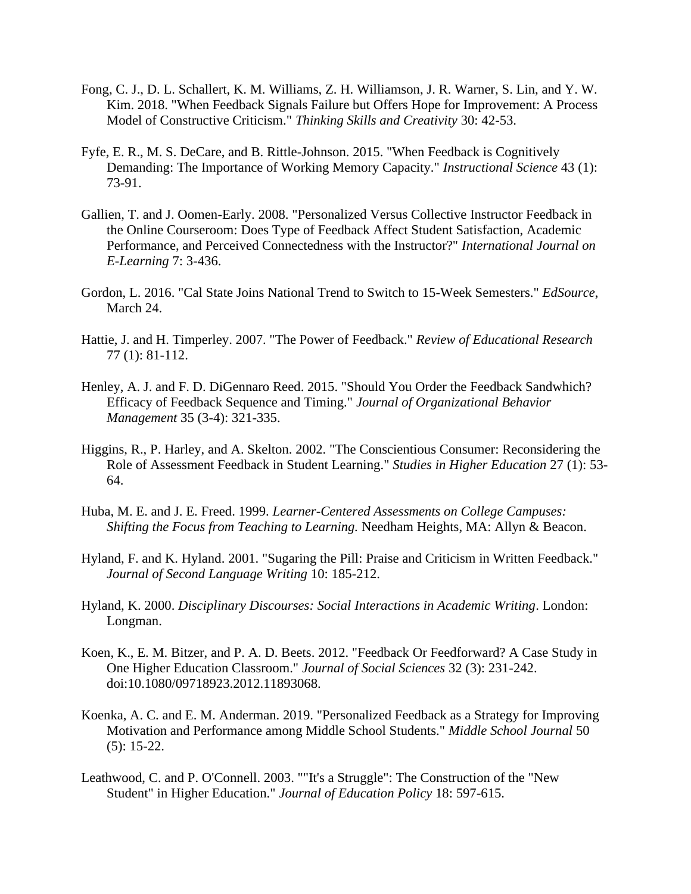- Fong, C. J., D. L. Schallert, K. M. Williams, Z. H. Williamson, J. R. Warner, S. Lin, and Y. W. Kim. 2018. "When Feedback Signals Failure but Offers Hope for Improvement: A Process Model of Constructive Criticism." *Thinking Skills and Creativity* 30: 42-53.
- Fyfe, E. R., M. S. DeCare, and B. Rittle-Johnson. 2015. "When Feedback is Cognitively Demanding: The Importance of Working Memory Capacity." *Instructional Science* 43 (1): 73-91.
- Gallien, T. and J. Oomen-Early. 2008. "Personalized Versus Collective Instructor Feedback in the Online Courseroom: Does Type of Feedback Affect Student Satisfaction, Academic Performance, and Perceived Connectedness with the Instructor?" *International Journal on E-Learning* 7: 3-436.
- Gordon, L. 2016. "Cal State Joins National Trend to Switch to 15-Week Semesters." *EdSource*, March 24.
- Hattie, J. and H. Timperley. 2007. "The Power of Feedback." *Review of Educational Research* 77 (1): 81-112.
- Henley, A. J. and F. D. DiGennaro Reed. 2015. "Should You Order the Feedback Sandwhich? Efficacy of Feedback Sequence and Timing." *Journal of Organizational Behavior Management* 35 (3-4): 321-335.
- Higgins, R., P. Harley, and A. Skelton. 2002. "The Conscientious Consumer: Reconsidering the Role of Assessment Feedback in Student Learning." *Studies in Higher Education* 27 (1): 53- 64.
- Huba, M. E. and J. E. Freed. 1999. *Learner-Centered Assessments on College Campuses: Shifting the Focus from Teaching to Learning.* Needham Heights, MA: Allyn & Beacon.
- Hyland, F. and K. Hyland. 2001. "Sugaring the Pill: Praise and Criticism in Written Feedback." *Journal of Second Language Writing* 10: 185-212.
- Hyland, K. 2000. *Disciplinary Discourses: Social Interactions in Academic Writing*. London: Longman.
- Koen, K., E. M. Bitzer, and P. A. D. Beets. 2012. "Feedback Or Feedforward? A Case Study in One Higher Education Classroom." *Journal of Social Sciences* 32 (3): 231-242. doi:10.1080/09718923.2012.11893068.
- Koenka, A. C. and E. M. Anderman. 2019. "Personalized Feedback as a Strategy for Improving Motivation and Performance among Middle School Students." *Middle School Journal* 50 (5): 15-22.
- Leathwood, C. and P. O'Connell. 2003. ""It's a Struggle": The Construction of the "New Student" in Higher Education." *Journal of Education Policy* 18: 597-615.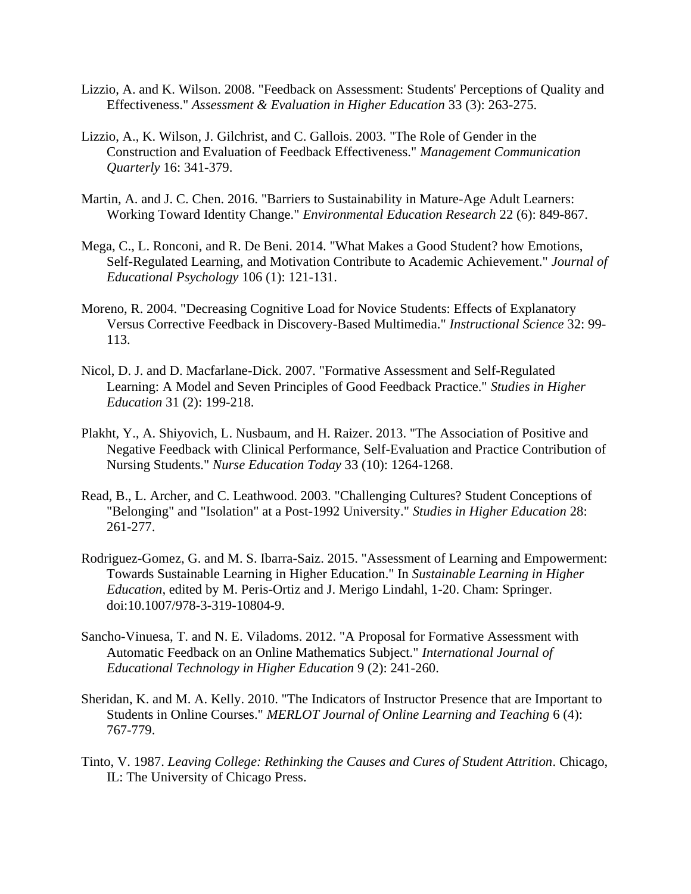- Lizzio, A. and K. Wilson. 2008. "Feedback on Assessment: Students' Perceptions of Quality and Effectiveness." *Assessment & Evaluation in Higher Education* 33 (3): 263-275.
- Lizzio, A., K. Wilson, J. Gilchrist, and C. Gallois. 2003. "The Role of Gender in the Construction and Evaluation of Feedback Effectiveness." *Management Communication Quarterly* 16: 341-379.
- Martin, A. and J. C. Chen. 2016. "Barriers to Sustainability in Mature-Age Adult Learners: Working Toward Identity Change." *Environmental Education Research* 22 (6): 849-867.
- Mega, C., L. Ronconi, and R. De Beni. 2014. "What Makes a Good Student? how Emotions, Self-Regulated Learning, and Motivation Contribute to Academic Achievement." *Journal of Educational Psychology* 106 (1): 121-131.
- Moreno, R. 2004. "Decreasing Cognitive Load for Novice Students: Effects of Explanatory Versus Corrective Feedback in Discovery-Based Multimedia." *Instructional Science* 32: 99- 113.
- Nicol, D. J. and D. Macfarlane-Dick. 2007. "Formative Assessment and Self-Regulated Learning: A Model and Seven Principles of Good Feedback Practice." *Studies in Higher Education* 31 (2): 199-218.
- Plakht, Y., A. Shiyovich, L. Nusbaum, and H. Raizer. 2013. "The Association of Positive and Negative Feedback with Clinical Performance, Self-Evaluation and Practice Contribution of Nursing Students." *Nurse Education Today* 33 (10): 1264-1268.
- Read, B., L. Archer, and C. Leathwood. 2003. "Challenging Cultures? Student Conceptions of "Belonging" and "Isolation" at a Post-1992 University." *Studies in Higher Education* 28: 261-277.
- Rodriguez-Gomez, G. and M. S. Ibarra-Saiz. 2015. "Assessment of Learning and Empowerment: Towards Sustainable Learning in Higher Education." In *Sustainable Learning in Higher Education*, edited by M. Peris-Ortiz and J. Merigo Lindahl, 1-20. Cham: Springer. doi:10.1007/978-3-319-10804-9.
- Sancho-Vinuesa, T. and N. E. Viladoms. 2012. "A Proposal for Formative Assessment with Automatic Feedback on an Online Mathematics Subject." *International Journal of Educational Technology in Higher Education* 9 (2): 241-260.
- Sheridan, K. and M. A. Kelly. 2010. "The Indicators of Instructor Presence that are Important to Students in Online Courses." *MERLOT Journal of Online Learning and Teaching* 6 (4): 767-779.
- Tinto, V. 1987. *Leaving College: Rethinking the Causes and Cures of Student Attrition*. Chicago, IL: The University of Chicago Press.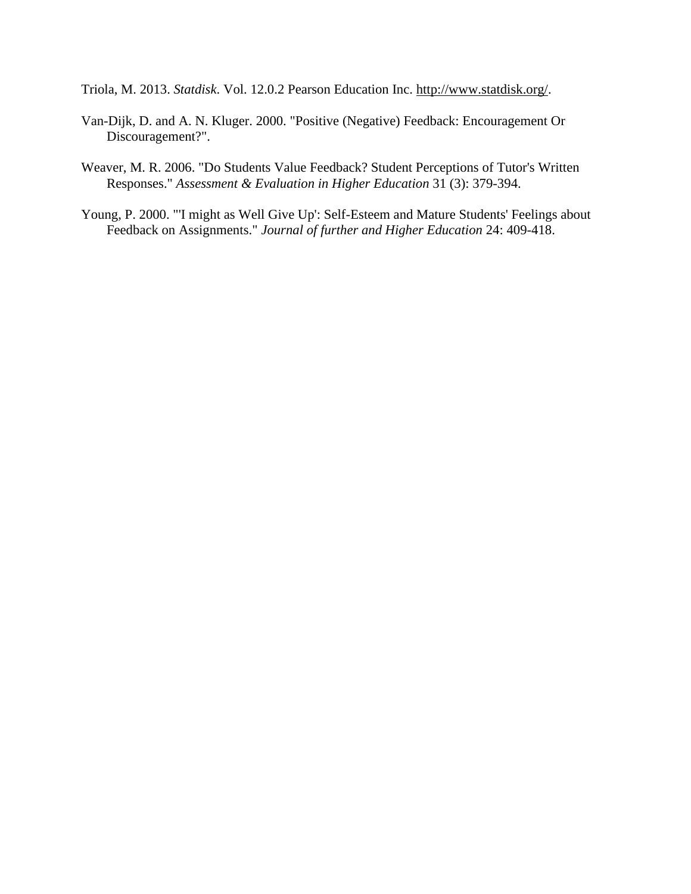Triola, M. 2013. *Statdisk*. Vol. 12.0.2 Pearson Education Inc. [http://www.statdisk.org/.](http://www.statdisk.org/)

- Van-Dijk, D. and A. N. Kluger. 2000. "Positive (Negative) Feedback: Encouragement Or Discouragement?".
- Weaver, M. R. 2006. "Do Students Value Feedback? Student Perceptions of Tutor's Written Responses." *Assessment & Evaluation in Higher Education* 31 (3): 379-394.
- Young, P. 2000. "'I might as Well Give Up': Self-Esteem and Mature Students' Feelings about Feedback on Assignments." *Journal of further and Higher Education* 24: 409-418.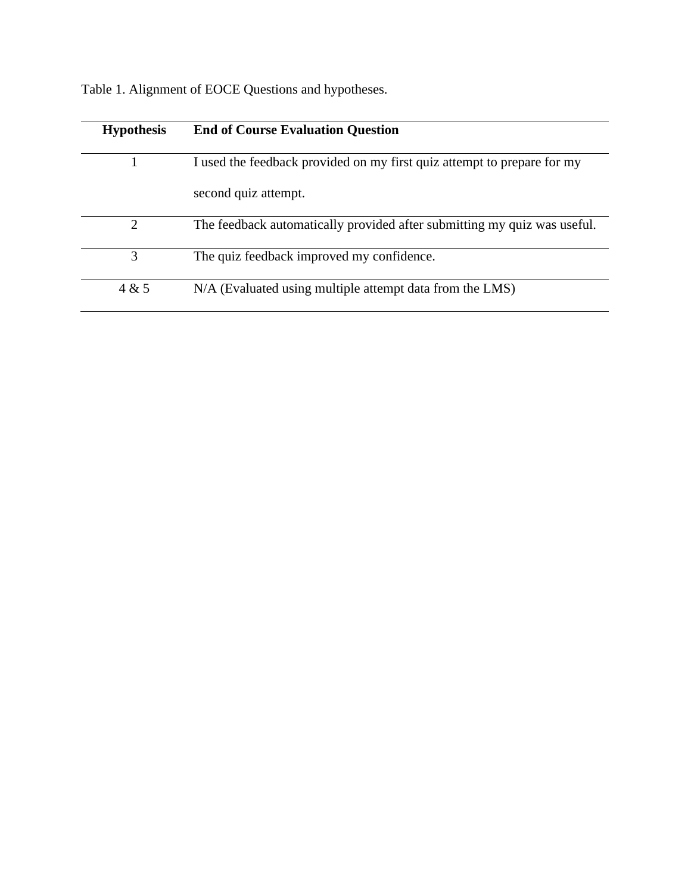| <b>Hypothesis</b> | <b>End of Course Evaluation Question</b>                                 |
|-------------------|--------------------------------------------------------------------------|
|                   | I used the feedback provided on my first quiz attempt to prepare for my  |
|                   | second quiz attempt.                                                     |
| $\overline{2}$    | The feedback automatically provided after submitting my quiz was useful. |
| 3                 | The quiz feedback improved my confidence.                                |
| 4 & 5             | N/A (Evaluated using multiple attempt data from the LMS)                 |

Table 1. Alignment of EOCE Questions and hypotheses.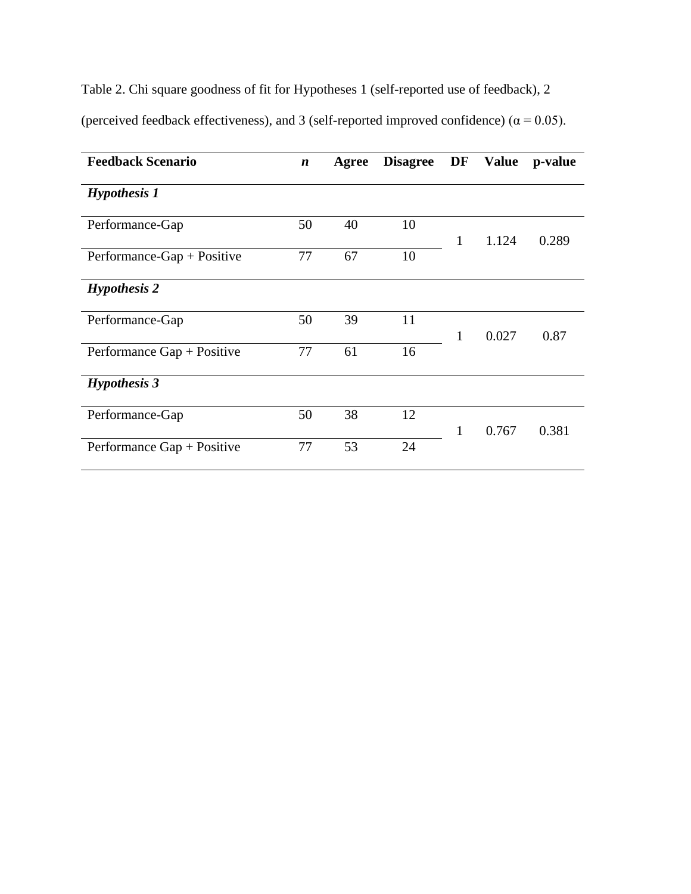Table 2. Chi square goodness of fit for Hypotheses 1 (self-reported use of feedback), 2 (perceived feedback effectiveness), and 3 (self-reported improved confidence) ( $\alpha$  = 0.05).

| <b>Feedback Scenario</b>   | $\boldsymbol{n}$ | Agree | <b>Disagree</b> | DF |       | Value p-value |
|----------------------------|------------------|-------|-----------------|----|-------|---------------|
| <b>Hypothesis 1</b>        |                  |       |                 |    |       |               |
| Performance-Gap            | 50               | 40    | 10              | 1  | 1.124 | 0.289         |
| Performance-Gap + Positive | 77               | 67    | 10              |    |       |               |
| <b>Hypothesis 2</b>        |                  |       |                 |    |       |               |
| Performance-Gap            | 50               | 39    | 11              | 1  | 0.027 | 0.87          |
| Performance Gap + Positive | 77               | 61    | 16              |    |       |               |
| <b>Hypothesis 3</b>        |                  |       |                 |    |       |               |
| Performance-Gap            | 50               | 38    | 12              | 1  | 0.767 | 0.381         |
| Performance Gap + Positive | 77               | 53    | 24              |    |       |               |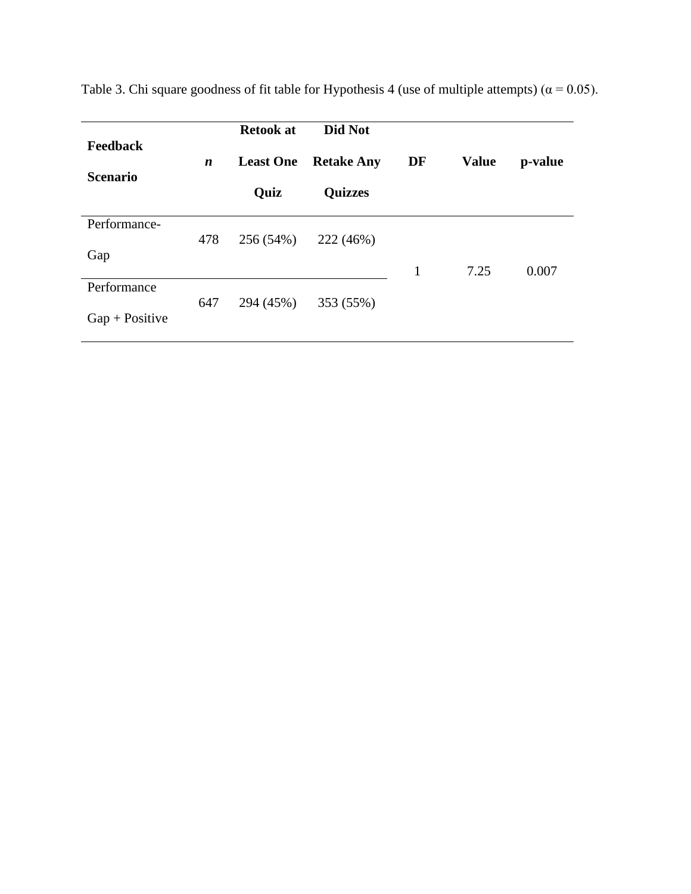| <b>Feedback</b><br><b>Scenario</b> | $\boldsymbol{n}$ | <b>Retook at</b><br><b>Least One</b><br>Quiz | Did Not<br><b>Retake Any</b><br><b>Quizzes</b> | DF | <b>Value</b> | p-value |
|------------------------------------|------------------|----------------------------------------------|------------------------------------------------|----|--------------|---------|
| Performance-<br>Gap                | 478              | 256 (54%)                                    | 222 (46%)                                      |    |              |         |
|                                    |                  |                                              |                                                | 1  | 7.25         | 0.007   |
| Performance                        |                  |                                              |                                                |    |              |         |
| $Gap + Positive$                   | 647              | 294 (45%)                                    | 353 (55%)                                      |    |              |         |

Table 3. Chi square goodness of fit table for Hypothesis 4 (use of multiple attempts) ( $\alpha$  = 0.05).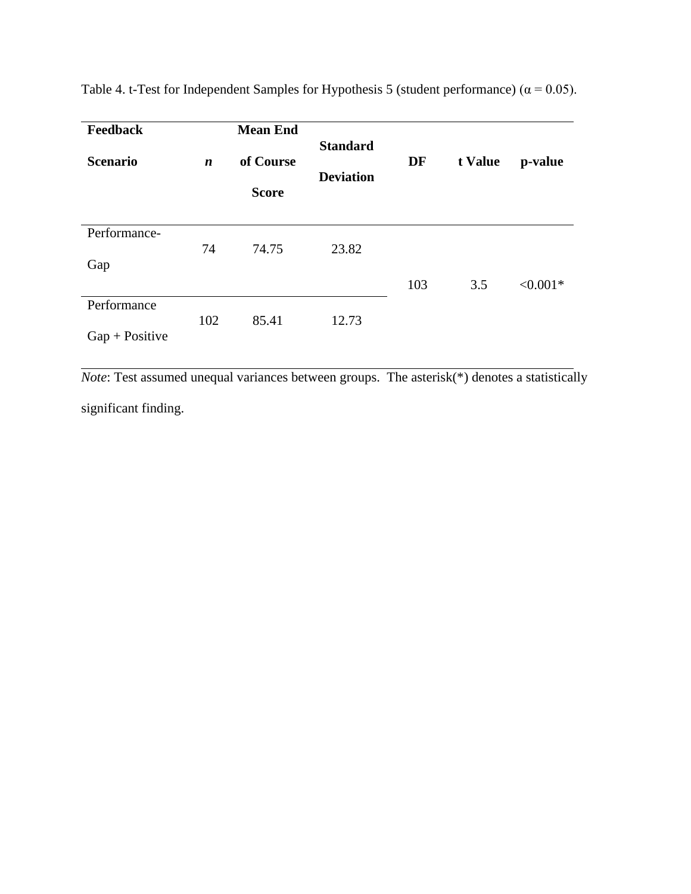| <b>Feedback</b><br><b>Scenario</b> | $\boldsymbol{n}$ | <b>Mean End</b><br>of Course<br><b>Score</b> | <b>Standard</b><br><b>Deviation</b> | DF  | t Value | p-value    |
|------------------------------------|------------------|----------------------------------------------|-------------------------------------|-----|---------|------------|
| Performance-                       | 74               | 74.75                                        | 23.82                               |     |         |            |
| Gap                                |                  |                                              |                                     |     |         |            |
|                                    |                  |                                              |                                     | 103 | 3.5     | $< 0.001*$ |
| Performance                        |                  |                                              |                                     |     |         |            |
| $Gap + Positive$                   | 102              | 85.41                                        | 12.73                               |     |         |            |

Table 4. t-Test for Independent Samples for Hypothesis 5 (student performance) ( $\alpha$  = 0.05).

*Note*: Test assumed unequal variances between groups. The asterisk(\*) denotes a statistically significant finding.